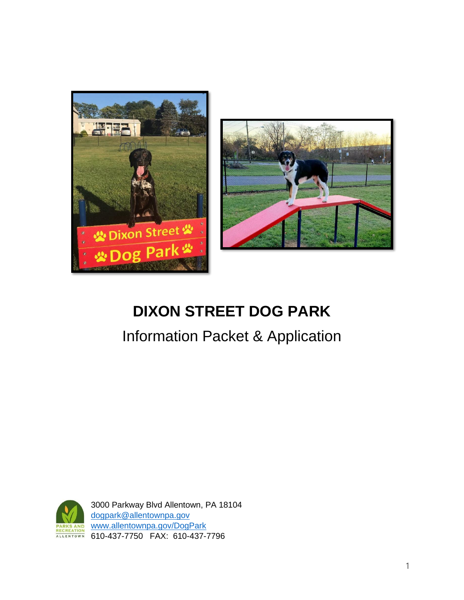



# **DIXON STREET DOG PARK**

# Information Packet & Application



3000 Parkway Blvd Allentown, PA 18104 [dogpark@allentownpa.gov](mailto:dogpark@allentownpa.gov) [www.allentownpa.gov/DogPark](http://www.allentownpa.gov/DogPark) 610-437-7750 FAX: 610-437-7796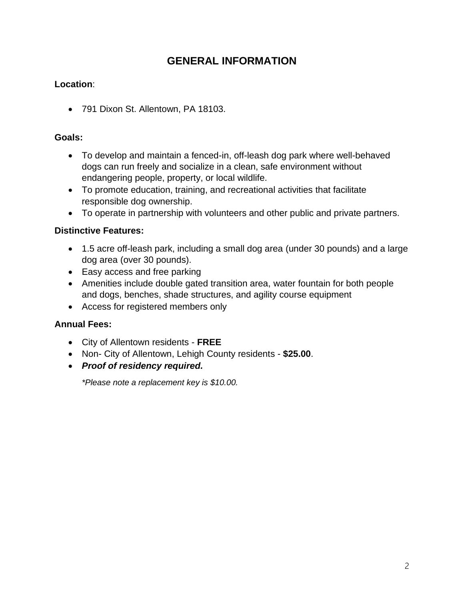## **GENERAL INFORMATION**

## **Location**:

• 791 Dixon St. Allentown, PA 18103.

## **Goals:**

- To develop and maintain a fenced-in, off-leash dog park where well-behaved dogs can run freely and socialize in a clean, safe environment without endangering people, property, or local wildlife.
- To promote education, training, and recreational activities that facilitate responsible dog ownership.
- To operate in partnership with volunteers and other public and private partners.

## **Distinctive Features:**

- 1.5 acre off-leash park, including a small dog area (under 30 pounds) and a large dog area (over 30 pounds).
- Easy access and free parking
- Amenities include double gated transition area, water fountain for both people and dogs, benches, shade structures, and agility course equipment
- Access for registered members only

## **Annual Fees:**

- City of Allentown residents **FREE**
- Non- City of Allentown, Lehigh County residents **\$25.00**.
- *Proof of residency required.*

*\*Please note a replacement key is \$10.00.*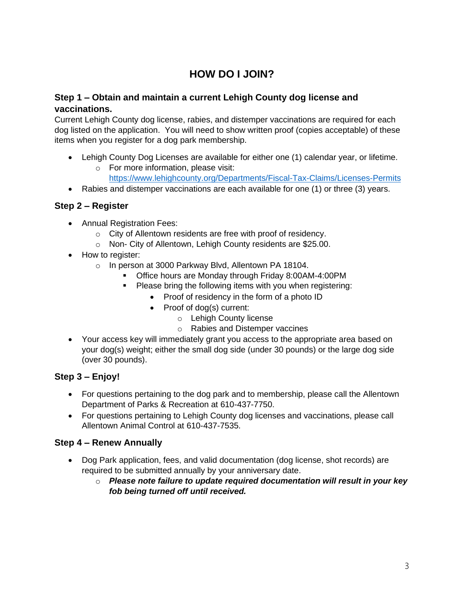## **HOW DO I JOIN?**

### **Step 1 – Obtain and maintain a current Lehigh County dog license and vaccinations.**

Current Lehigh County dog license, rabies, and distemper vaccinations are required for each dog listed on the application. You will need to show written proof (copies acceptable) of these items when you register for a dog park membership.

- Lehigh County Dog Licenses are available for either one (1) calendar year, or lifetime.
	- o For more information, please visit:
		- <https://www.lehighcounty.org/Departments/Fiscal-Tax-Claims/Licenses-Permits>
- Rabies and distemper vaccinations are each available for one (1) or three (3) years.

#### **Step 2 – Register**

- Annual Registration Fees:
	- o City of Allentown residents are free with proof of residency.
	- o Non- City of Allentown, Lehigh County residents are \$25.00.
- How to register:
	- o In person at 3000 Parkway Blvd, Allentown PA 18104.
		- Office hours are Monday through Friday 8:00AM-4:00PM
		- Please bring the following items with you when registering:
			- Proof of residency in the form of a photo ID
			- Proof of dog(s) current:
				- o Lehigh County license
				- o Rabies and Distemper vaccines
- Your access key will immediately grant you access to the appropriate area based on your dog(s) weight; either the small dog side (under 30 pounds) or the large dog side (over 30 pounds).

## **Step 3 – Enjoy!**

- For questions pertaining to the dog park and to membership, please call the Allentown Department of Parks & Recreation at 610-437-7750.
- For questions pertaining to Lehigh County dog licenses and vaccinations, please call Allentown Animal Control at 610-437-7535.

## **Step 4 – Renew Annually**

- Dog Park application, fees, and valid documentation (dog license, shot records) are required to be submitted annually by your anniversary date.
	- o *Please note failure to update required documentation will result in your key fob being turned off until received.*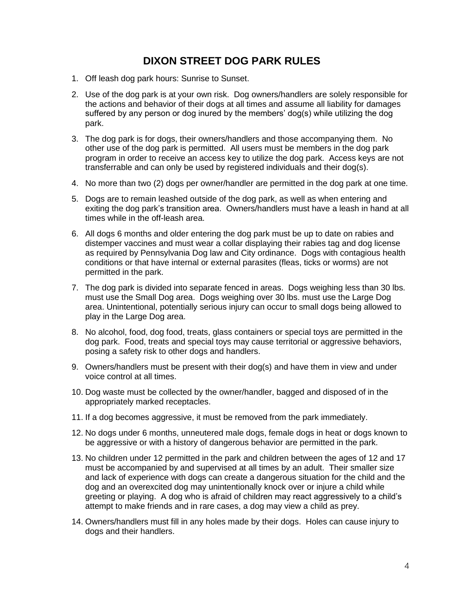## **DIXON STREET DOG PARK RULES**

- 1. Off leash dog park hours: Sunrise to Sunset.
- 2. Use of the dog park is at your own risk. Dog owners/handlers are solely responsible for the actions and behavior of their dogs at all times and assume all liability for damages suffered by any person or dog inured by the members' dog(s) while utilizing the dog park.
- 3. The dog park is for dogs, their owners/handlers and those accompanying them. No other use of the dog park is permitted. All users must be members in the dog park program in order to receive an access key to utilize the dog park. Access keys are not transferrable and can only be used by registered individuals and their dog(s).
- 4. No more than two (2) dogs per owner/handler are permitted in the dog park at one time.
- 5. Dogs are to remain leashed outside of the dog park, as well as when entering and exiting the dog park's transition area. Owners/handlers must have a leash in hand at all times while in the off-leash area.
- 6. All dogs 6 months and older entering the dog park must be up to date on rabies and distemper vaccines and must wear a collar displaying their rabies tag and dog license as required by Pennsylvania Dog law and City ordinance. Dogs with contagious health conditions or that have internal or external parasites (fleas, ticks or worms) are not permitted in the park.
- 7. The dog park is divided into separate fenced in areas. Dogs weighing less than 30 lbs. must use the Small Dog area. Dogs weighing over 30 lbs. must use the Large Dog area. Unintentional, potentially serious injury can occur to small dogs being allowed to play in the Large Dog area.
- 8. No alcohol, food, dog food, treats, glass containers or special toys are permitted in the dog park. Food, treats and special toys may cause territorial or aggressive behaviors, posing a safety risk to other dogs and handlers.
- 9. Owners/handlers must be present with their dog(s) and have them in view and under voice control at all times.
- 10. Dog waste must be collected by the owner/handler, bagged and disposed of in the appropriately marked receptacles.
- 11. If a dog becomes aggressive, it must be removed from the park immediately.
- 12. No dogs under 6 months, unneutered male dogs, female dogs in heat or dogs known to be aggressive or with a history of dangerous behavior are permitted in the park.
- 13. No children under 12 permitted in the park and children between the ages of 12 and 17 must be accompanied by and supervised at all times by an adult. Their smaller size and lack of experience with dogs can create a dangerous situation for the child and the dog and an overexcited dog may unintentionally knock over or injure a child while greeting or playing. A dog who is afraid of children may react aggressively to a child's attempt to make friends and in rare cases, a dog may view a child as prey.
- 14. Owners/handlers must fill in any holes made by their dogs. Holes can cause injury to dogs and their handlers.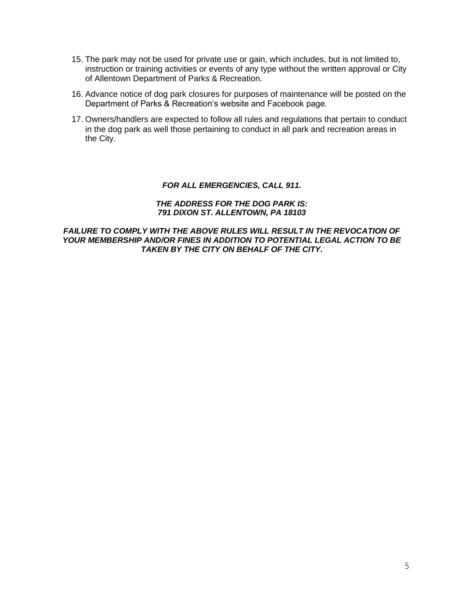- 15. The park may not be used for private use or gain, which includes, but is not limited to, instruction or training activities or events of any type without the written approval or City of Allentown Department of Parks & Recreation.
- 16. Advance notice of dog park closures for purposes of maintenance will be posted on the Department of Parks & Recreation's website and Facebook page.
- 17. Owners/handlers are expected to follow all rules and regulations that pertain to conduct in the dog park as well those pertaining to conduct in all park and recreation areas in the City.

#### *FOR ALL EMERGENCIES, CALL 911.*

#### *THE ADDRESS FOR THE DOG PARK IS: 791 DIXON ST. ALLENTOWN, PA 18103*

#### **FAILURE TO COMPLY WITH THE ABOVE RULES WILL RESULT IN THE REVOCATION OF** *YOUR MEMBERSHIP AND/OR FINES IN ADDITION TO POTENTIAL LEGAL ACTION TO BE TAKEN BY THE CITY ON BEHALF OF THE CITY.*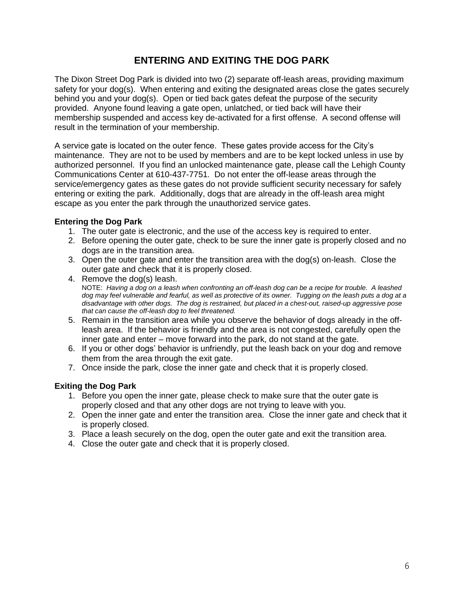## **ENTERING AND EXITING THE DOG PARK**

The Dixon Street Dog Park is divided into two (2) separate off-leash areas, providing maximum safety for your dog(s). When entering and exiting the designated areas close the gates securely behind you and your dog(s). Open or tied back gates defeat the purpose of the security provided. Anyone found leaving a gate open, unlatched, or tied back will have their membership suspended and access key de-activated for a first offense. A second offense will result in the termination of your membership.

A service gate is located on the outer fence. These gates provide access for the City's maintenance. They are not to be used by members and are to be kept locked unless in use by authorized personnel. If you find an unlocked maintenance gate, please call the Lehigh County Communications Center at 610-437-7751. Do not enter the off-lease areas through the service/emergency gates as these gates do not provide sufficient security necessary for safely entering or exiting the park. Additionally, dogs that are already in the off-leash area might escape as you enter the park through the unauthorized service gates.

#### **Entering the Dog Park**

- 1. The outer gate is electronic, and the use of the access key is required to enter.
- 2. Before opening the outer gate, check to be sure the inner gate is properly closed and no dogs are in the transition area.
- 3. Open the outer gate and enter the transition area with the dog(s) on-leash. Close the outer gate and check that it is properly closed.
- 4. Remove the dog(s) leash. NOTE: *Having a dog on a leash when confronting an off-leash dog can be a recipe for trouble. A leashed dog may feel vulnerable and fearful, as well as protective of its owner. Tugging on the leash puts a dog at a disadvantage with other dogs. The dog is restrained, but placed in a chest-out, raised-up aggressive pose that can cause the off-leash dog to feel threatened.*
- 5. Remain in the transition area while you observe the behavior of dogs already in the offleash area. If the behavior is friendly and the area is not congested, carefully open the inner gate and enter – move forward into the park, do not stand at the gate.
- 6. If you or other dogs' behavior is unfriendly, put the leash back on your dog and remove them from the area through the exit gate.
- 7. Once inside the park, close the inner gate and check that it is properly closed.

#### **Exiting the Dog Park**

- 1. Before you open the inner gate, please check to make sure that the outer gate is properly closed and that any other dogs are not trying to leave with you.
- 2. Open the inner gate and enter the transition area. Close the inner gate and check that it is properly closed.
- 3. Place a leash securely on the dog, open the outer gate and exit the transition area.
- 4. Close the outer gate and check that it is properly closed.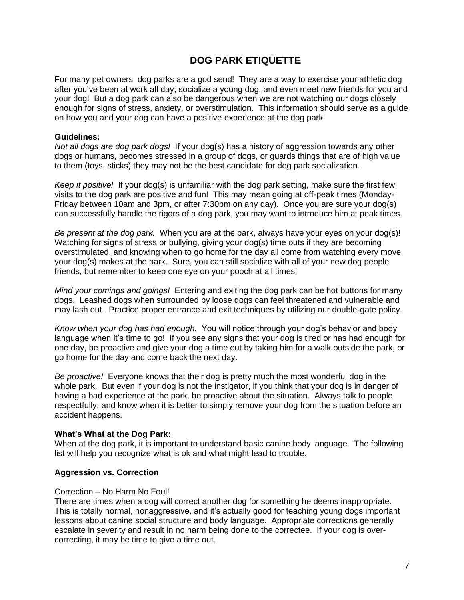## **DOG PARK ETIQUETTE**

For many pet owners, dog parks are a god send! They are a way to exercise your athletic dog after you've been at work all day, socialize a young dog, and even meet new friends for you and your dog! But a dog park can also be dangerous when we are not watching our dogs closely enough for signs of stress, anxiety, or overstimulation. This information should serve as a guide on how you and your dog can have a positive experience at the dog park!

#### **Guidelines:**

*Not all dogs are dog park dogs!* If your dog(s) has a history of aggression towards any other dogs or humans, becomes stressed in a group of dogs, or guards things that are of high value to them (toys, sticks) they may not be the best candidate for dog park socialization.

*Keep it positive!* If your dog(s) is unfamiliar with the dog park setting, make sure the first few visits to the dog park are positive and fun! This may mean going at off-peak times (Monday-Friday between 10am and 3pm, or after 7:30pm on any day). Once you are sure your dog(s) can successfully handle the rigors of a dog park, you may want to introduce him at peak times.

*Be present at the dog park.* When you are at the park, always have your eyes on your dog(s)! Watching for signs of stress or bullying, giving your dog(s) time outs if they are becoming overstimulated, and knowing when to go home for the day all come from watching every move your dog(s) makes at the park. Sure, you can still socialize with all of your new dog people friends, but remember to keep one eye on your pooch at all times!

*Mind your comings and goings!* Entering and exiting the dog park can be hot buttons for many dogs. Leashed dogs when surrounded by loose dogs can feel threatened and vulnerable and may lash out. Practice proper entrance and exit techniques by utilizing our double-gate policy.

*Know when your dog has had enough.* You will notice through your dog's behavior and body language when it's time to go! If you see any signs that your dog is tired or has had enough for one day, be proactive and give your dog a time out by taking him for a walk outside the park, or go home for the day and come back the next day.

*Be proactive!* Everyone knows that their dog is pretty much the most wonderful dog in the whole park. But even if your dog is not the instigator, if you think that your dog is in danger of having a bad experience at the park, be proactive about the situation. Always talk to people respectfully, and know when it is better to simply remove your dog from the situation before an accident happens.

#### **What's What at the Dog Park:**

When at the dog park, it is important to understand basic canine body language. The following list will help you recognize what is ok and what might lead to trouble.

#### **Aggression vs. Correction**

#### Correction – No Harm No Foul!

There are times when a dog will correct another dog for something he deems inappropriate. This is totally normal, nonaggressive, and it's actually good for teaching young dogs important lessons about canine social structure and body language. Appropriate corrections generally escalate in severity and result in no harm being done to the correctee. If your dog is overcorrecting, it may be time to give a time out.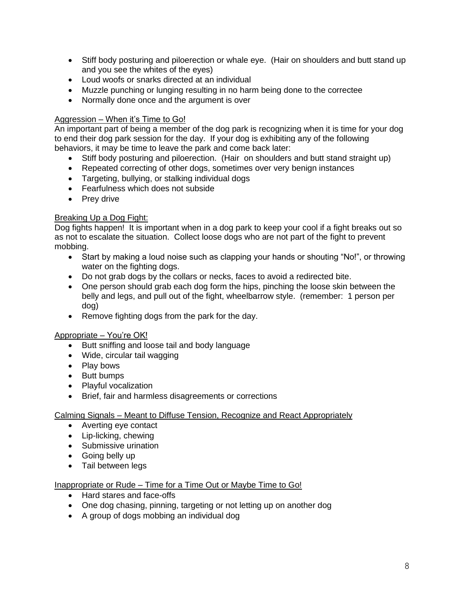- Stiff body posturing and piloerection or whale eye. (Hair on shoulders and butt stand up and you see the whites of the eyes)
- Loud woofs or snarks directed at an individual
- Muzzle punching or lunging resulting in no harm being done to the correctee
- Normally done once and the argument is over

#### Aggression – When it's Time to Go!

An important part of being a member of the dog park is recognizing when it is time for your dog to end their dog park session for the day. If your dog is exhibiting any of the following behaviors, it may be time to leave the park and come back later:

- Stiff body posturing and piloerection. (Hair on shoulders and butt stand straight up)
- Repeated correcting of other dogs, sometimes over very benign instances
- Targeting, bullying, or stalking individual dogs
- Fearfulness which does not subside
- Prey drive

#### Breaking Up a Dog Fight:

Dog fights happen! It is important when in a dog park to keep your cool if a fight breaks out so as not to escalate the situation. Collect loose dogs who are not part of the fight to prevent mobbing.

- Start by making a loud noise such as clapping your hands or shouting "No!", or throwing water on the fighting dogs.
- Do not grab dogs by the collars or necks, faces to avoid a redirected bite.
- One person should grab each dog form the hips, pinching the loose skin between the belly and legs, and pull out of the fight, wheelbarrow style. (remember: 1 person per dog)
- Remove fighting dogs from the park for the day.

#### Appropriate – You're OK!

- Butt sniffing and loose tail and body language
- Wide, circular tail wagging
- Play bows
- Butt bumps
- Playful vocalization
- Brief, fair and harmless disagreements or corrections

#### Calming Signals – Meant to Diffuse Tension, Recognize and React Appropriately

- Averting eye contact
- Lip-licking, chewing
- Submissive urination
- Going belly up
- Tail between legs

#### Inappropriate or Rude – Time for a Time Out or Maybe Time to Go!

- Hard stares and face-offs
- One dog chasing, pinning, targeting or not letting up on another dog
- A group of dogs mobbing an individual dog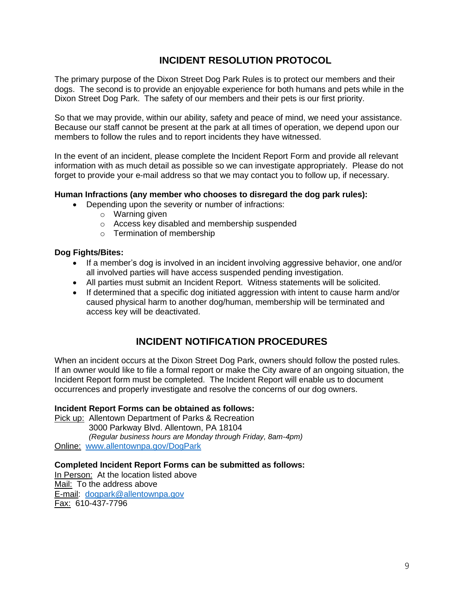## **INCIDENT RESOLUTION PROTOCOL**

The primary purpose of the Dixon Street Dog Park Rules is to protect our members and their dogs. The second is to provide an enjoyable experience for both humans and pets while in the Dixon Street Dog Park. The safety of our members and their pets is our first priority.

So that we may provide, within our ability, safety and peace of mind, we need your assistance. Because our staff cannot be present at the park at all times of operation, we depend upon our members to follow the rules and to report incidents they have witnessed.

In the event of an incident, please complete the Incident Report Form and provide all relevant information with as much detail as possible so we can investigate appropriately. Please do not forget to provide your e-mail address so that we may contact you to follow up, if necessary.

#### **Human Infractions (any member who chooses to disregard the dog park rules):**

- Depending upon the severity or number of infractions:
	- o Warning given
	- o Access key disabled and membership suspended
	- o Termination of membership

#### **Dog Fights/Bites:**

- If a member's dog is involved in an incident involving aggressive behavior, one and/or all involved parties will have access suspended pending investigation.
- All parties must submit an Incident Report. Witness statements will be solicited.
- If determined that a specific dog initiated aggression with intent to cause harm and/or caused physical harm to another dog/human, membership will be terminated and access key will be deactivated.

## **INCIDENT NOTIFICATION PROCEDURES**

When an incident occurs at the Dixon Street Dog Park, owners should follow the posted rules. If an owner would like to file a formal report or make the City aware of an ongoing situation, the Incident Report form must be completed. The Incident Report will enable us to document occurrences and properly investigate and resolve the concerns of our dog owners.

#### **Incident Report Forms can be obtained as follows:**

Pick up: Allentown Department of Parks & Recreation 3000 Parkway Blvd. Allentown, PA 18104 *(Regular business hours are Monday through Friday, 8am-4pm)* Online: [www.allentownpa.gov/DogPark](http://www.allentownpa.gov/DogPark)

#### **Completed Incident Report Forms can be submitted as follows:**

In Person:At the location listed above Mail:To the address above E-mail: [dogpark@allentownpa.gov](mailto:dogpark@allentownpa.gov) Fax:610-437-7796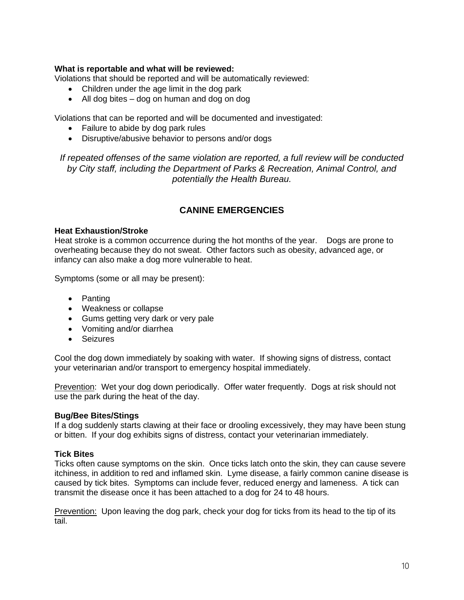#### **What is reportable and what will be reviewed:**

Violations that should be reported and will be automatically reviewed:

- Children under the age limit in the dog park
- All dog bites dog on human and dog on dog

Violations that can be reported and will be documented and investigated:

- Failure to abide by dog park rules
- Disruptive/abusive behavior to persons and/or dogs

*If repeated offenses of the same violation are reported, a full review will be conducted by City staff, including the Department of Parks & Recreation, Animal Control, and potentially the Health Bureau.*

### **CANINE EMERGENCIES**

#### **Heat Exhaustion/Stroke**

Heat stroke is a common occurrence during the hot months of the year. Dogs are prone to overheating because they do not sweat. Other factors such as obesity, advanced age, or infancy can also make a dog more vulnerable to heat.

Symptoms (some or all may be present):

- Panting
- Weakness or collapse
- Gums getting very dark or very pale
- Vomiting and/or diarrhea
- Seizures

Cool the dog down immediately by soaking with water. If showing signs of distress, contact your veterinarian and/or transport to emergency hospital immediately.

Prevention: Wet your dog down periodically. Offer water frequently. Dogs at risk should not use the park during the heat of the day.

#### **Bug/Bee Bites/Stings**

If a dog suddenly starts clawing at their face or drooling excessively, they may have been stung or bitten. If your dog exhibits signs of distress, contact your veterinarian immediately.

#### **Tick Bites**

Ticks often cause symptoms on the skin. Once ticks latch onto the skin, they can cause severe itchiness, in addition to red and inflamed skin. Lyme disease, a fairly common canine disease is caused by tick bites. Symptoms can include fever, reduced energy and lameness. A tick can transmit the disease once it has been attached to a dog for 24 to 48 hours.

Prevention: Upon leaving the dog park, check your dog for ticks from its head to the tip of its tail.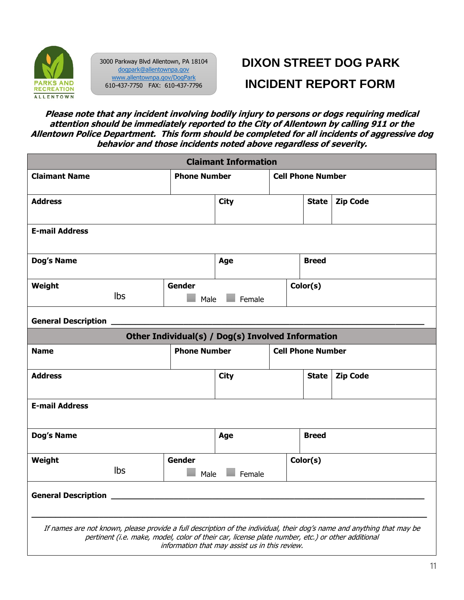

3000 Parkway Blvd Allentown, PA 18104 [dogpark@allentownpa.gov](mailto:dogpark@allentownpa.gov) [www.allentownpa.gov/DogPark](http://www.allentownpa.gov/DogPark) 610-437-7750 FAX: 610-437-7796

# **DIXON STREET DOG PARK INCIDENT REPORT FORM**

**Please note that any incident involving bodily injury to persons or dogs requiring medical attention should be immediately reported to the City of Allentown by calling 911 or the Allentown Police Department. This form should be completed for all incidents of aggressive dog behavior and those incidents noted above regardless of severity.**

| <b>Claimant Information</b>                                                                                                                                                                                                                                                  |     |                                                 |                                                   |  |                          |                 |  |
|------------------------------------------------------------------------------------------------------------------------------------------------------------------------------------------------------------------------------------------------------------------------------|-----|-------------------------------------------------|---------------------------------------------------|--|--------------------------|-----------------|--|
| <b>Claimant Name</b>                                                                                                                                                                                                                                                         |     | <b>Phone Number</b>                             |                                                   |  | <b>Cell Phone Number</b> |                 |  |
| <b>Address</b>                                                                                                                                                                                                                                                               |     |                                                 | <b>City</b>                                       |  | <b>State</b>             | <b>Zip Code</b> |  |
| <b>E-mail Address</b>                                                                                                                                                                                                                                                        |     |                                                 |                                                   |  |                          |                 |  |
| Dog's Name                                                                                                                                                                                                                                                                   |     |                                                 | Age                                               |  | <b>Breed</b>             |                 |  |
| Weight                                                                                                                                                                                                                                                                       | Ibs | Gender<br>Male                                  | Female                                            |  | Color(s)                 |                 |  |
| <b>General Description</b>                                                                                                                                                                                                                                                   |     |                                                 |                                                   |  |                          |                 |  |
|                                                                                                                                                                                                                                                                              |     |                                                 | Other Individual(s) / Dog(s) Involved Information |  |                          |                 |  |
| <b>Name</b>                                                                                                                                                                                                                                                                  |     | <b>Phone Number</b><br><b>Cell Phone Number</b> |                                                   |  |                          |                 |  |
| <b>Address</b>                                                                                                                                                                                                                                                               |     |                                                 | <b>City</b>                                       |  | <b>State</b>             | <b>Zip Code</b> |  |
| <b>E-mail Address</b>                                                                                                                                                                                                                                                        |     |                                                 |                                                   |  |                          |                 |  |
| Dog's Name                                                                                                                                                                                                                                                                   |     |                                                 | Age                                               |  | <b>Breed</b>             |                 |  |
| Weight                                                                                                                                                                                                                                                                       | Ibs | <b>Gender</b><br>Male                           | Female                                            |  | Color(s)                 |                 |  |
| <b>General Description</b>                                                                                                                                                                                                                                                   |     |                                                 |                                                   |  |                          |                 |  |
| If names are not known, please provide a full description of the individual, their dog's name and anything that may be<br>pertinent (i.e. make, model, color of their car, license plate number, etc.) or other additional<br>information that may assist us in this review. |     |                                                 |                                                   |  |                          |                 |  |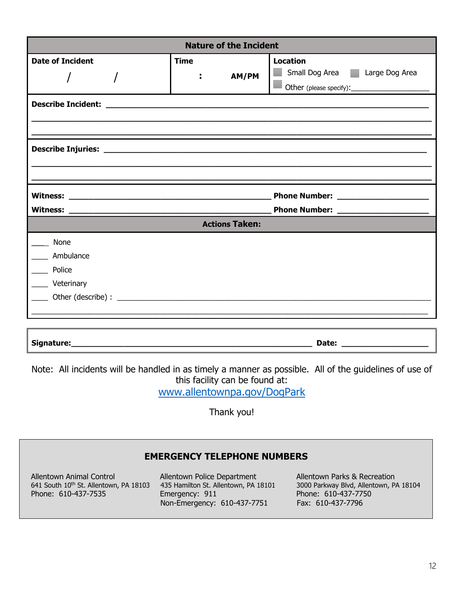| <b>Nature of the Incident</b>             |                            |                                                                                             |  |  |  |  |
|-------------------------------------------|----------------------------|---------------------------------------------------------------------------------------------|--|--|--|--|
| <b>Date of Incident</b>                   | <b>Time</b><br>AM/PM<br>÷. | <b>Location</b><br>Small Dog Area   Large Dog Area<br>Other (please specify): $\frac{1}{2}$ |  |  |  |  |
|                                           |                            |                                                                                             |  |  |  |  |
|                                           |                            |                                                                                             |  |  |  |  |
|                                           |                            | Phone Number: ______________________                                                        |  |  |  |  |
|                                           | <b>Actions Taken:</b>      |                                                                                             |  |  |  |  |
| None<br>Ambulance<br>Police<br>Veterinary |                            |                                                                                             |  |  |  |  |
| Signature:                                |                            | Date:                                                                                       |  |  |  |  |

Note: All incidents will be handled in as timely a manner as possible. All of the guidelines of use of this facility can be found at:

[www.allentownpa.gov/DogPark](http://www.allentownpa.gov/DogPark)

Thank you!

## **EMERGENCY TELEPHONE NUMBERS**

Allentown Animal Control **Allentown Police Department** Allentown Parks & Recreation<br>641 South 10<sup>th</sup> St. Allentown, PA 18103 435 Hamilton St. Allentown, PA 18101 3000 Parkway Blvd, Allentown, P. Phone: 610-437-7535 Emergency: 911 Phone: 610-437-7750

Non-Emergency: 610-437-7751 Fax: 610-437-7796

3000 Parkway Blvd, Allentown, PA 18104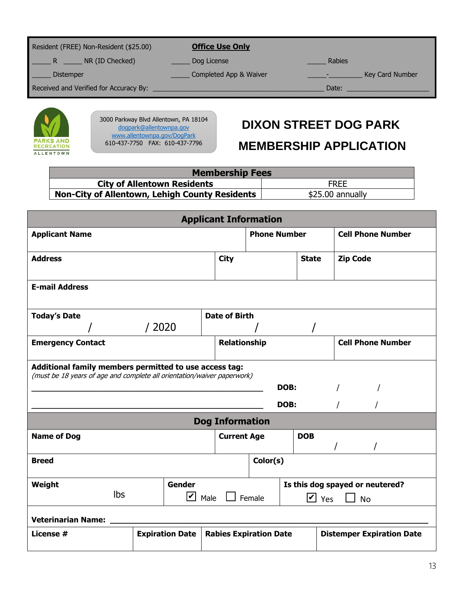| Resident (FREE) Non-Resident (\$25.00) | <b>Office Use Only</b>                                                                                                                                                                                                        |                 |
|----------------------------------------|-------------------------------------------------------------------------------------------------------------------------------------------------------------------------------------------------------------------------------|-----------------|
| NR (ID Checked)<br>R                   | Dog License                                                                                                                                                                                                                   | <b>Rabies</b>   |
| <b>Distemper</b>                       | Completed App & Waiver                                                                                                                                                                                                        | Key Card Number |
| Received and Verified for Accuracy By: | the control of the control of the control of the control of the control of the control of the control of the control of the control of the control of the control of the control of the control of the control of the control | Date:           |
|                                        |                                                                                                                                                                                                                               |                 |



3000 Parkway Blvd Allentown, PA 18104 [dogpark@allentownpa.gov](mailto:dogpark@allentownpa.gov) [www.allentownpa.gov/DogPark](http://www.allentownpa.gov/DogPark) 610-437-7750 FAX: 610-437-7796

## **DIXON STREET DOG PARK**

## **MEMBERSHIP APPLICATION**

| <b>Membership Fees</b>                                |                  |  |  |  |  |
|-------------------------------------------------------|------------------|--|--|--|--|
| <b>City of Allentown Residents</b><br><b>FREE</b>     |                  |  |  |  |  |
| <b>Non-City of Allentown, Lehigh County Residents</b> | \$25.00 annually |  |  |  |  |

| <b>Applicant Information</b>                                                                                                              |                        |                        |                               |                      |                                              |  |  |  |
|-------------------------------------------------------------------------------------------------------------------------------------------|------------------------|------------------------|-------------------------------|----------------------|----------------------------------------------|--|--|--|
| <b>Applicant Name</b>                                                                                                                     |                        |                        | <b>Phone Number</b>           |                      | <b>Cell Phone Number</b>                     |  |  |  |
| <b>Address</b>                                                                                                                            |                        | <b>City</b>            | <b>State</b>                  |                      | <b>Zip Code</b>                              |  |  |  |
| <b>E-mail Address</b>                                                                                                                     |                        |                        |                               |                      |                                              |  |  |  |
| <b>Today's Date</b>                                                                                                                       |                        | <b>Date of Birth</b>   |                               |                      |                                              |  |  |  |
|                                                                                                                                           | /2020                  |                        |                               |                      |                                              |  |  |  |
| <b>Emergency Contact</b>                                                                                                                  |                        |                        | <b>Relationship</b>           |                      | <b>Cell Phone Number</b>                     |  |  |  |
| Additional family members permitted to use access tag:<br>(must be 18 years of age and complete all orientation/waiver paperwork)<br>DOB: |                        |                        |                               |                      |                                              |  |  |  |
| DOB:<br>$\prime$                                                                                                                          |                        |                        |                               |                      |                                              |  |  |  |
|                                                                                                                                           |                        | <b>Dog Information</b> |                               |                      |                                              |  |  |  |
| <b>Name of Dog</b>                                                                                                                        |                        | <b>Current Age</b>     |                               | <b>DOB</b>           |                                              |  |  |  |
| <b>Breed</b>                                                                                                                              |                        |                        | Color(s)                      |                      |                                              |  |  |  |
| Weight<br>Ibs                                                                                                                             | Gender<br> v           | Male                   | Female                        | $\triangleright$ Yes | Is this dog spayed or neutered?<br><b>No</b> |  |  |  |
| <b>Veterinarian Name:</b>                                                                                                                 |                        |                        |                               |                      |                                              |  |  |  |
| License #                                                                                                                                 | <b>Expiration Date</b> |                        | <b>Rabies Expiration Date</b> |                      | <b>Distemper Expiration Date</b>             |  |  |  |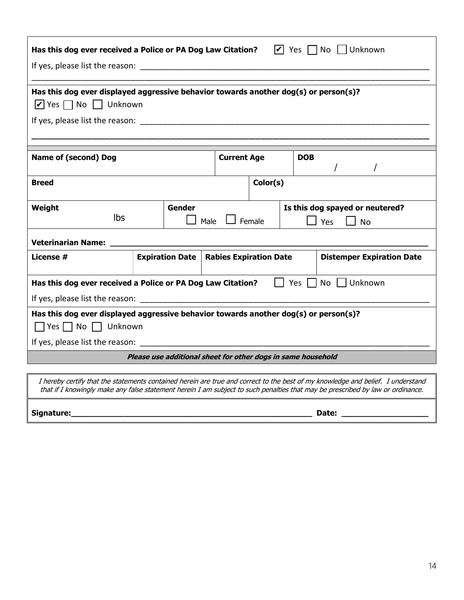| $ V $ Yes $\Box$ No     Unknown<br>Has this dog ever received a Police or PA Dog Law Citation? |                        |                               |                                  |  |  |  |  |
|------------------------------------------------------------------------------------------------|------------------------|-------------------------------|----------------------------------|--|--|--|--|
|                                                                                                |                        |                               |                                  |  |  |  |  |
| Has this dog ever displayed aggressive behavior towards another dog(s) or person(s)?           |                        |                               |                                  |  |  |  |  |
| $\triangleright$ Yes $\square$ No $\square$ Unknown                                            |                        |                               |                                  |  |  |  |  |
|                                                                                                |                        |                               |                                  |  |  |  |  |
|                                                                                                |                        |                               |                                  |  |  |  |  |
|                                                                                                |                        |                               |                                  |  |  |  |  |
| <b>Name of (second) Dog</b>                                                                    |                        | <b>Current Age</b>            | <b>DOB</b><br>$\sqrt{ }$         |  |  |  |  |
| Color(s)<br><b>Breed</b>                                                                       |                        |                               |                                  |  |  |  |  |
| Weight                                                                                         | Gender                 |                               | Is this dog spayed or neutered?  |  |  |  |  |
| <b>lbs</b>                                                                                     |                        | Female<br>Male                | $\Box$ Yes<br><b>No</b>          |  |  |  |  |
| Veterinarian Name:                                                                             |                        |                               |                                  |  |  |  |  |
| License #                                                                                      | <b>Expiration Date</b> | <b>Rabies Expiration Date</b> | <b>Distemper Expiration Date</b> |  |  |  |  |
| Yes     No     Unknown<br>Has this dog ever received a Police or PA Dog Law Citation?          |                        |                               |                                  |  |  |  |  |
|                                                                                                |                        |                               |                                  |  |  |  |  |
| Has this dog ever displayed aggressive behavior towards another dog(s) or person(s)?           |                        |                               |                                  |  |  |  |  |
| $\Box$ Yes $\Box$ No $\Box$ Unknown                                                            |                        |                               |                                  |  |  |  |  |
|                                                                                                |                        |                               |                                  |  |  |  |  |
| Please use additional sheet for other dogs in same household                                   |                        |                               |                                  |  |  |  |  |
|                                                                                                |                        |                               |                                  |  |  |  |  |

I hereby certify that the statements contained herein are true and correct to the best of my knowledge and belief. I understand that if I knowingly make any false statement herein I am subject to such penalties that may be prescribed by law or ordinance.

**Signature:\_\_\_\_\_\_\_\_\_\_\_\_\_\_\_\_\_\_\_\_\_\_\_\_\_\_\_\_\_\_\_\_\_\_\_\_\_\_\_\_\_\_\_\_\_\_\_\_\_\_ Date: \_\_\_\_\_\_\_\_\_\_\_\_\_\_\_\_\_\_**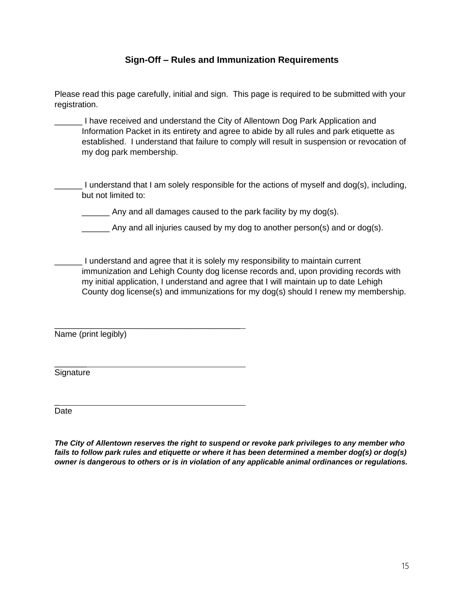## **Sign-Off – Rules and Immunization Requirements**

Please read this page carefully, initial and sign. This page is required to be submitted with your registration.

\_\_\_\_\_\_ I have received and understand the City of Allentown Dog Park Application and Information Packet in its entirety and agree to abide by all rules and park etiquette as established. I understand that failure to comply will result in suspension or revocation of my dog park membership.

\_\_\_\_\_\_ I understand that I am solely responsible for the actions of myself and dog(s), including, but not limited to:

Any and all damages caused to the park facility by my dog(s).

\_\_\_\_\_\_ Any and all injuries caused by my dog to another person(s) and or dog(s).

\_\_\_\_\_\_ I understand and agree that it is solely my responsibility to maintain current immunization and Lehigh County dog license records and, upon providing records with my initial application, I understand and agree that I will maintain up to date Lehigh County dog license(s) and immunizations for my dog(s) should I renew my membership.

\_\_\_\_\_\_\_\_\_\_\_\_\_\_\_\_\_\_\_\_\_\_\_\_\_\_\_\_\_\_\_\_\_\_\_\_\_\_\_\_ Name (print legibly)

\_\_\_\_\_\_\_ Signature

Date

\_

*The City of Allentown reserves the right to suspend or revoke park privileges to any member who fails to follow park rules and etiquette or where it has been determined a member dog(s) or dog(s) owner is dangerous to others or is in violation of any applicable animal ordinances or regulations.*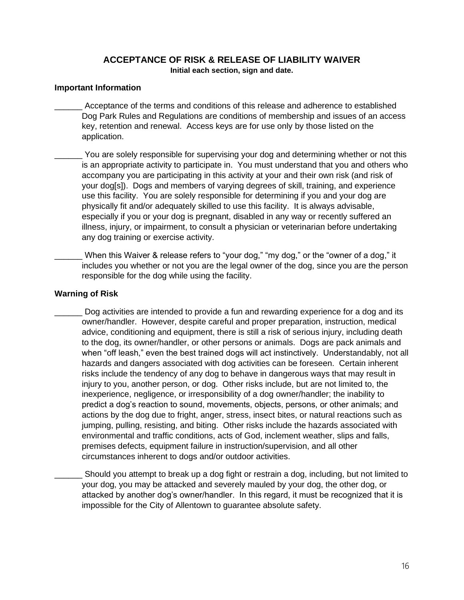#### **ACCEPTANCE OF RISK & RELEASE OF LIABILITY WAIVER Initial each section, sign and date.**

#### **Important Information**

- \_\_\_\_\_\_ Acceptance of the terms and conditions of this release and adherence to established Dog Park Rules and Regulations are conditions of membership and issues of an access key, retention and renewal. Access keys are for use only by those listed on the application.
	- You are solely responsible for supervising your dog and determining whether or not this is an appropriate activity to participate in. You must understand that you and others who accompany you are participating in this activity at your and their own risk (and risk of your dog[s]). Dogs and members of varying degrees of skill, training, and experience use this facility. You are solely responsible for determining if you and your dog are physically fit and/or adequately skilled to use this facility. It is always advisable, especially if you or your dog is pregnant, disabled in any way or recently suffered an illness, injury, or impairment, to consult a physician or veterinarian before undertaking any dog training or exercise activity.
	- When this Waiver & release refers to "your dog," "my dog," or the "owner of a dog," it includes you whether or not you are the legal owner of the dog, since you are the person responsible for the dog while using the facility.

#### **Warning of Risk**

- Dog activities are intended to provide a fun and rewarding experience for a dog and its owner/handler. However, despite careful and proper preparation, instruction, medical advice, conditioning and equipment, there is still a risk of serious injury, including death to the dog, its owner/handler, or other persons or animals. Dogs are pack animals and when "off leash," even the best trained dogs will act instinctively. Understandably, not all hazards and dangers associated with dog activities can be foreseen. Certain inherent risks include the tendency of any dog to behave in dangerous ways that may result in injury to you, another person, or dog. Other risks include, but are not limited to, the inexperience, negligence, or irresponsibility of a dog owner/handler; the inability to predict a dog's reaction to sound, movements, objects, persons, or other animals; and actions by the dog due to fright, anger, stress, insect bites, or natural reactions such as jumping, pulling, resisting, and biting. Other risks include the hazards associated with environmental and traffic conditions, acts of God, inclement weather, slips and falls, premises defects, equipment failure in instruction/supervision, and all other circumstances inherent to dogs and/or outdoor activities.
	- Should you attempt to break up a dog fight or restrain a dog, including, but not limited to your dog, you may be attacked and severely mauled by your dog, the other dog, or attacked by another dog's owner/handler. In this regard, it must be recognized that it is impossible for the City of Allentown to guarantee absolute safety.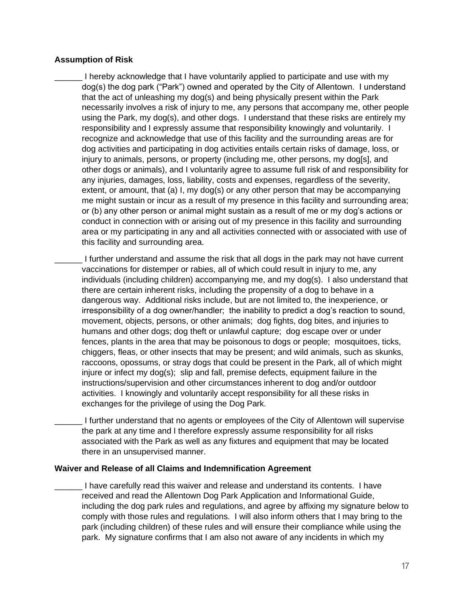#### **Assumption of Risk**

I hereby acknowledge that I have voluntarily applied to participate and use with my dog(s) the dog park ("Park") owned and operated by the City of Allentown. I understand that the act of unleashing my dog(s) and being physically present within the Park necessarily involves a risk of injury to me, any persons that accompany me, other people using the Park, my dog(s), and other dogs. I understand that these risks are entirely my responsibility and I expressly assume that responsibility knowingly and voluntarily. I recognize and acknowledge that use of this facility and the surrounding areas are for dog activities and participating in dog activities entails certain risks of damage, loss, or injury to animals, persons, or property (including me, other persons, my dog[s], and other dogs or animals), and I voluntarily agree to assume full risk of and responsibility for any injuries, damages, loss, liability, costs and expenses, regardless of the severity, extent, or amount, that (a) I, my dog(s) or any other person that may be accompanying me might sustain or incur as a result of my presence in this facility and surrounding area; or (b) any other person or animal might sustain as a result of me or my dog's actions or conduct in connection with or arising out of my presence in this facility and surrounding area or my participating in any and all activities connected with or associated with use of this facility and surrounding area.

I further understand and assume the risk that all dogs in the park may not have current vaccinations for distemper or rabies, all of which could result in injury to me, any individuals (including children) accompanying me, and my dog(s). I also understand that there are certain inherent risks, including the propensity of a dog to behave in a dangerous way. Additional risks include, but are not limited to, the inexperience, or irresponsibility of a dog owner/handler; the inability to predict a dog's reaction to sound, movement, objects, persons, or other animals; dog fights, dog bites, and injuries to humans and other dogs; dog theft or unlawful capture; dog escape over or under fences, plants in the area that may be poisonous to dogs or people; mosquitoes, ticks, chiggers, fleas, or other insects that may be present; and wild animals, such as skunks, raccoons, opossums, or stray dogs that could be present in the Park, all of which might injure or infect my dog(s); slip and fall, premise defects, equipment failure in the instructions/supervision and other circumstances inherent to dog and/or outdoor activities. I knowingly and voluntarily accept responsibility for all these risks in exchanges for the privilege of using the Dog Park.

\_\_\_\_\_\_ I further understand that no agents or employees of the City of Allentown will supervise the park at any time and I therefore expressly assume responsibility for all risks associated with the Park as well as any fixtures and equipment that may be located there in an unsupervised manner.

#### **Waiver and Release of all Claims and Indemnification Agreement**

\_\_\_\_\_\_ I have carefully read this waiver and release and understand its contents. I have received and read the Allentown Dog Park Application and Informational Guide, including the dog park rules and regulations, and agree by affixing my signature below to comply with those rules and regulations. I will also inform others that I may bring to the park (including children) of these rules and will ensure their compliance while using the park. My signature confirms that I am also not aware of any incidents in which my